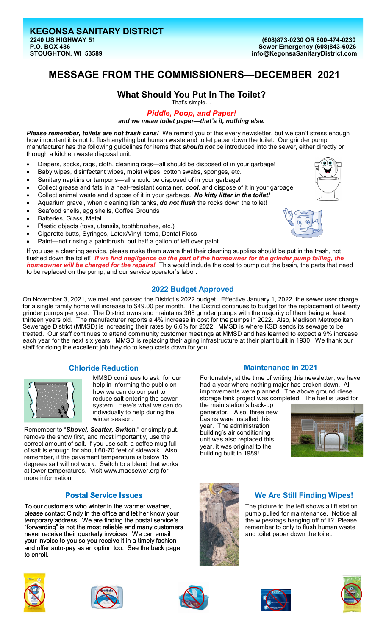# **MESSAGE FROM THE COMMISSIONERS—DECEMBER 2021**

#### **What Should You Put In The Toilet?** That's simple…

*Piddle, Poop, and Paper!* 

*and we mean toilet paper—that's it, nothing else.*

*Please remember, toilets are not trash cans!* We remind you of this every newsletter, but we can't stress enough how important it is not to flush anything but human waste and toilet paper down the toilet. Our grinder pump manufacturer has the following guidelines for items that *should not* be introduced into the sewer, either directly or through a kitchen waste disposal unit:

- Diapers, socks, rags, cloth, cleaning rags—all should be disposed of in your garbage!
- Baby wipes, disinfectant wipes, moist wipes, cotton swabs, sponges, etc.
- Sanitary napkins or tampons—all should be disposed of in your garbage!
- Collect grease and fats in a heat-resistant container, *cool*, and dispose of it in your garbage.
- Collect animal waste and dispose of it in your garbage. *No kitty litter in the toilet!*
- Aquarium gravel, when cleaning fish tanks, *do not flush* the rocks down the toilet!
- Seafood shells, egg shells, Coffee Grounds
- Batteries, Glass, Metal
- Plastic objects (toys, utensils, toothbrushes, etc.)
- Cigarette butts, Syringes, Latex/Vinyl items, Dental Floss
- Paint-not rinsing a paintbrush, but half a gallon of left over paint.

If you use a cleaning service, please make them aware that their cleaning supplies should be put in the trash, not flushed down the toilet! If we find negligence on the part of the homeowner for the grinder pump failing, the *homeowner will be charged for the repairs!* This would include the cost to pump out the basin, the parts that need to be replaced on the pump, and our service operator's labor.

# **2022 Budget Approved**

On November 3, 2021, we met and passed the District's 2022 budget. Effective January 1, 2022, the sewer user charge for a single family home will increase to \$49.00 per month. The District continues to budget for the replacement of twenty grinder pumps per year. The District owns and maintains 368 grinder pumps with the majority of them being at least thirteen years old. The manufacturer reports a 4% increase in cost for the pumps in 2022. Also, Madison Metropolitan Sewerage District (MMSD) is increasing their rates by 6.6% for 2022. MMSD is where KSD sends its sewage to be treated. Our staff continues to attend community customer meetings at MMSD and has learned to expect a 9% increase each year for the next six years. MMSD is replacing their aging infrastructure at their plant built in 1930. We thank our staff for doing the excellent job they do to keep costs down for you.

## **Chloride Reduction**



MMSD continues to ask for our help in informing the public on how we can do our part to reduce salt entering the sewer system. Here's what we can do individually to help during the winter season:

Remember to "*[Shovel, Scatter, Switch](https://www.madsewer.org/Portals/0/ProgramInitiatives/ChlorideReduction/Salt%20Reduction%20Resources/2017WISaltWise_8_5x11.pdf)*," or simply put, remove the snow first, and most importantly, use the correct amount of salt. If you use salt, a coffee mug full of salt is enough for about 60-70 feet of sidewalk. Also remember, if the pavement temperature is below 15 degrees salt will not work. Switch to a blend that works at lower temperatures. Visit www.madsewer.org for more information!

## **Postal Service Issues**

To our customers who winter in the warmer weather, please contact Cindy in the office and let her know your temporary address. We are finding the postal service's "forwarding" is not the most reliable and many customers never receive their quarterly invoices. We can email your invoice to you so you receive it in a timely fashion and offer auto-pay as an option too. See the back page to enroll.



# **Maintenance in 2021**

Fortunately, at the time of writing this newsletter, we have had a year where nothing major has broken down. All improvements were planned. The above ground diesel storage tank project was completed. The fuel is used for

the main station's back-up generator. Also, three new basins were installed this year. The administration building's air conditioning unit was also replaced this year, it was original to the building built in 1989!





# **We Are Still Finding Wipes!**

The picture to the left shows a lift station pump pulled for maintenance. Notice all the wipes/rags hanging off of it? Please remember to only to flush human waste and toilet paper down the toilet.